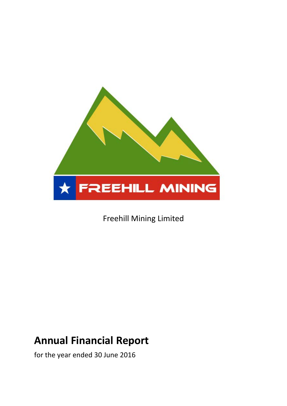

Freehill Mining Limited

# **Annual Financial Report**

for the year ended 30 June 2016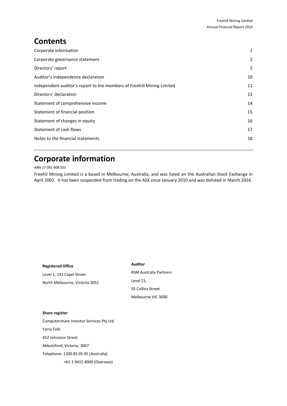# **Contents**

| Corporate information                                                  | $\mathbf{1}$ |
|------------------------------------------------------------------------|--------------|
| Corporate governance statement                                         | 2            |
| Directors' report                                                      | 5            |
| Auditor's independence declaration                                     | 10           |
| Independent auditor's report to the members of Freehill Mining Limited | 11           |
| Directors' declaration                                                 | 13           |
| Statement of comprehensive income                                      | 14           |
| Statement of financial position                                        | 15           |
| Statement of changes in equity                                         | 16           |
| Statement of cash flows                                                | 17           |
| Notes to the financial statements                                      | 18           |
|                                                                        |              |

# <span id="page-1-0"></span>**Corporate information**

ABN 27 091 608 025

Freehil Mining Limited is a based in Melbourne, Australia, and was listed on the Australian Stock Exchange in April 2002. It has been suspended from trading on the ASX since January 2010 and was delisted in March 2016.

# **Registered Office** Level 1, 141 Capel Street North Melbourne, Victoria 3051

**Auditor**

RSM Australia Partners Level 21, 55 Collins Street Melbourne VIC 3000

# **Share register**

Computershare Investor Services Pty Ltd Yarra Falls 452 Johnston Street Abbotsford, Victoria, 3067 Telephone: 1300 85 05 05 (Australia) +61 3 9415 4000 (Overseas)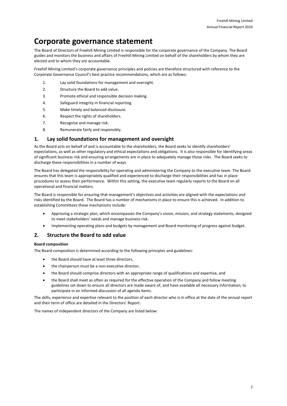# <span id="page-2-0"></span>**Corporate governance statement**

The Board of Directors of Freehill Mining Limited is responsible for the corporate governance of the Company. The Board guides and monitors the business and affairs of Freehill Mining Limited on behalf of the shareholders by whom they are elected and to whom they are accountable.

Freehill Mining Limited's corporate governance principles and policies are therefore structured with reference to the Corporate Governance Council's best practice recommendations, which are as follows:

- 1. Lay solid foundations for management and oversight.
- 2. Structure the Board to add value.
- 3. Promote ethical and responsible decision making.
- 4. Safeguard integrity in financial reporting.
- 5. Make timely and balanced disclosure.
- 6. Respect the rights of shareholders.
- 7. Recognise and manage risk.
- 8. Remunerate fairly and responsibly.

# **1. Lay solid foundations for management and oversight**

As the Board acts on behalf of and is accountable to the shareholders, the Board seeks to identify shareholders' expectations, as well as other regulatory and ethical expectations and obligations. It is also responsible for identifying areas of significant business risk and ensuring arrangements are in place to adequately manage those risks. The Board seeks to discharge these responsibilities in a number of ways.

The Board has delegated the responsibility for operating and administering the Company to the executive team. The Board ensures that this team is appropriately qualified and experienced to discharge their responsibilities and has in place procedures to assess their performance. Within this setting, the executive team regularly reports to the Board on all operational and financial matters.

The Board is responsible for ensuring that management's objectives and activities are aligned with the expectations and risks identified by the Board. The Board has a number of mechanisms in place to ensure this is achieved. In addition to establishing Committees these mechanisms include:

- Approving a strategic plan, which encompasses the Company's vision, mission, and strategy statements, designed to meet stakeholders' needs and manage business risk.
- Implementing operating plans and budgets by management and Board monitoring of progress against budget.

# **2. Structure the Board to add value**

## **Board composition**

The Board composition is determined according to the following principles and guidelines:

- the Board should have at least three directors,
- the chairperson must be a non-executive director,
- the Board should comprise directors with an appropriate range of qualifications and expertise, and
- the Board shall meet as often as required for the effective operation of the Company and follow meeting guidelines set down to ensure all directors are made aware of, and have available all necessary information, to participate in an informed discussion of all agenda items.

The skills, experience and expertise relevant to the position of each director who is in office at the date of the annual report and their term of office are detailed in the Directors' Report.

The names of independent directors of the Company are listed below: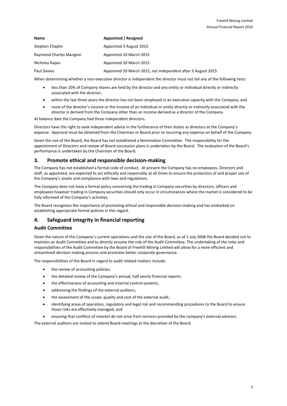| Name                    | Appointed / Resigned                                         |
|-------------------------|--------------------------------------------------------------|
| Stephen Chaplin         | Appointed 3 August 2015                                      |
| Raymond Charles Mangion | Appointed 20 March 2015                                      |
| Nicholas Kapes          | Appointed 20 March 2015                                      |
| Paul Davies             | Appointed 20 March 2015, not independent after 3 August 2015 |

When determining whether a non-executive director is independent the director must not fail any of the following tests:

- less than 10% of Company shares are held by the director and any entity or individual directly or indirectly associated with the director;
- within the last three years the director has not been employed in an executive capacity with the Company; and
- none of the director's income or the income of an individual or entity directly or indirectly associated with the director is derived from the Company other than an income derived as a director of the Company.

At balance date the Company had three independent directors.

Directors have the right to seek independent advice in the furtherance of their duties as directors at the Company's expense. Approval must be obtained from the Chairman or Board prior to incurring any expense on behalf of the Company.

Given the size of the Board, the Board has not established a Nomination Committee. The responsibility for the appointment of Directors and review of Board succession plans is undertaken by the Board. The evaluation of the Board's performance is undertaken by the Chairman of the Board.

# **3. Promote ethical and responsible decision-making**

The Company has not established a formal code of conduct. At present the Company has no employees. Directors and staff, as appointed, are expected to act ethically and responsibly at all times to ensure the protection of and proper use of the Company's assets and compliance with laws and regulations.

The Company does not have a formal policy concerning the trading in Company securities by directors, officers and employees however trading in Company securities should only occur in circumstances where the market is considered to be fully informed of the Company's activities.

The Board recognises the importance of promoting ethical and responsible decision-making and has embarked on establishing appropriate formal policies in this regard.

# **4. Safeguard integrity in financial reporting**

# **Audit Committee**

Given the nature of the Company's current operations and the size of the Board, as of 1 July 2008 the Board decided not to maintain an Audit Committee and to directly assume the role of the Audit Committee. The undertaking of the roles and responsibilities of the Audit Committee by the Board of Freehill Mining Limited will allow for a more efficient and streamlined decision making process and promotes better corporate governance.

The responsibilities of the Board in regard to audit related matters include:

- the review of accounting policies;
- the detailed review of the Company's annual, half yearly financial reports;
- the effectiveness of accounting and internal control systems;
- addressing the findings of the external auditors;
- the assessment of the scope, quality and cost of the external audit;
- identifying areas of operation, regulatory and legal risk and recommending procedures to the Board to ensure those risks are effectively managed; and
- ensuring that conflicts of interest do not arise from services provided by the company's external advisors.

The external auditors are invited to attend Board meetings at the discretion of the Board.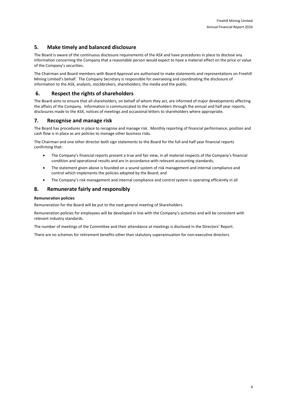# **5. Make timely and balanced disclosure**

The Board is aware of the continuous disclosure requirements of the ASX and have procedures in place to disclose any information concerning the Company that a reasonable person would expect to have a material effect on the price or value of the Company's securities.

The Chairman and Board members with Board Approval are authorised to make statements and representations on Freehill Mining Limited's behalf. The Company Secretary is responsible for overseeing and coordinating the disclosure of information to the ASX, analysts, stockbrokers, shareholders, the media and the public.

# **6. Respect the rights of shareholders**

The Board aims to ensure that all shareholders, on behalf of whom they act, are informed of major developments affecting the affairs of the Company. Information is communicated to the shareholders through the annual and half year reports, disclosures made to the ASX, notices of meetings and occasional letters to shareholders where appropriate.

# **7. Recognise and manage risk**

The Board has procedures in place to recognise and manage risk. Monthly reporting of financial performance, position and cash flow is in place as are policies to manage other business risks.

The Chairman and one other director both sign statements to the Board for the full and half year financial reports confirming that:

- The Company's financial reports present a true and fair view, in all material respects of the Company's financial condition and operational results and are in accordance with relevant accounting standards;
- The statement given above is founded on a sound system of risk management and internal compliance and control which implements the policies adopted by the Board; and
- The Company's risk management and internal compliance and control system is operating efficiently in all

# **8. Remunerate fairly and responsibly**

# **Remuneration policies**

Remuneration for the Board will be put to the next general meeting of Shareholders.

Remuneration policies for employees will be developed in line with the Company's activities and will be consistent with relevant industry standards.

The number of meetings of the Committee and their attendance at meetings is disclosed in the Directors' Report.

There are no schemes for retirement benefits other than statutory superannuation for non-executive directors.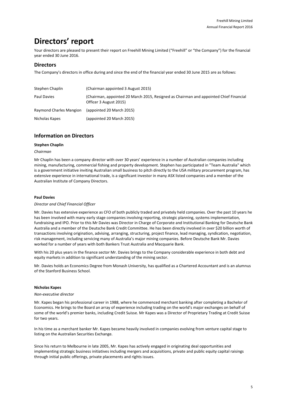# <span id="page-5-0"></span>**Directors' report**

Your directors are pleased to present their report on Freehill Mining Limited ("Freehill" or "the Company") for the financial year ended 30 June 2016.

# **Directors**

The Company's directors in office during and since the end of the financial year ended 30 June 2015 are as follows:

| Stephen Chaplin         | (Chairman appointed 3 August 2015)                                                                               |
|-------------------------|------------------------------------------------------------------------------------------------------------------|
| Paul Davies             | (Chairman, appointed 20 March 2015, Resigned as Chairman and appointed Chief Financial<br>Officer 3 August 2015) |
| Raymond Charles Mangion | (appointed 20 March 2015)                                                                                        |
| Nicholas Kapes          | (appointed 20 March 2015)                                                                                        |

# **Information on Directors**

# **Stephen Chaplin**

### *Chairman*

Mr Chaplin has been a company director with over 30 years' experience in a number of Australian companies including mining, manufacturing, commercial fishing and property development. Stephen has participated in "Team Australia" which is a government initiative inviting Australian small business to pitch directly to the USA military procurement program, has extensive experience in international trade, is a significant investor in many ASX listed companies and a member of the Australian Institute of Company Directors.

# **Paul Davies**

### *Director and Chief Financial Officer*

Mr. Davies has extensive experience as CFO of both publicly traded and privately held companies. Over the past 10 years he has been involved with many early stage companies involving reporting, strategic planning, systems implementation, fundraising and IPO. Prior to this Mr Davies was Director in Charge of Corporate and Institutional Banking for Deutsche Bank Australia and a member of the Deutsche Bank Credit Committee. He has been directly involved in over \$20 billion worth of transactions involving origination, advising, arranging, structuring, project finance, lead managing, syndication, negotiation, risk management, including servicing many of Australia's major mining companies. Before Deutsche Bank Mr. Davies worked for a number of years with both Bankers Trust Australia and Macquarie Bank.

With his 20 plus years in the finance sector Mr. Davies brings to the Company considerable experience in both debt and equity markets in addition to significant understanding of the mining sector.

Mr. Davies holds an Economics Degree from Monash University, has qualified as a Chartered Accountant and is an alumnus of the Stanford Business School.

# **Nicholas Kapes**

### *Non-executive director*

Mr. Kapes began his professional career in 1988, where he commenced merchant banking after completing a Bachelor of Economics. He brings to the Board an array of experience including trading on the world's major exchanges on behalf of some of the world's premier banks, including Credit Suisse. Mr Kapes was a Director of Proprietary Trading at Credit Suisse for two years.

In his time as a merchant banker Mr. Kapes became heavily involved in companies evolving from venture capital stage to listing on the Australian Securities Exchange.

Since his return to Melbourne in late 2005, Mr. Kapes has actively engaged in originating deal opportunities and implementing strategic business initiatives including mergers and acquisitions, private and public equity capital raisings through initial public offerings, private placements and rights issues.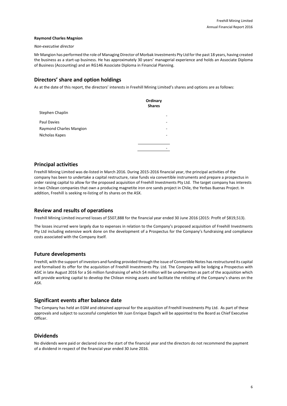### **Raymond Charles Magnion**

#### *Non-executive director*

Mr Mangion has performed the role of Managing Director of Morbak Investments Pty Ltd for the past 18 years, having created the business as a start-up business. He has approximately 30 years' managerial experience and holds an Associate Diploma of Business (Accounting) and an RG146 Associate Diploma in Financial Planning.

# **Directors' share and option holdings**

As at the date of this report, the directors' interests in Freehill Mining Limited's shares and options are as follows:

|                         | Ordinary<br><b>Shares</b> |
|-------------------------|---------------------------|
| Stephen Chaplin         | -                         |
| Paul Davies             | -                         |
| Raymond Charles Mangion | ۰                         |
| Nicholas Kapes          | -                         |
|                         |                           |
|                         |                           |

# **Principal activities**

Freehill Mining Limited was de-listed in March 2016. During 2015-2016 financial year, the principal activities of the company has been to undertake a capital restructure, raise funds via convertible instruments and prepare a prospectus in order raising capital to allow for the proposed acquisition of Freehill Investments Pty Ltd. The target company has interests in two Chilean companies that own a producing magnetite iron ore sands project in Chile, the Yerbas Buenas Project. In addition, Freehill is seeking re-listing of its shares on the ASX.

# **Review and results of operations**

Freehill Mining Limited incurred losses of \$507,888 for the financial year ended 30 June 2016 (2015: Profit of \$819,513).

The losses incurred were largely due to expenses in relation to the Company's proposed acquisition of Freehill Investments Pty Ltd including extensive work done on the development of a Prospectus for the Company's fundraising and compliance costs associated with the Company itself.

# **Future developments**

Freehill, with the support of investors and funding provided through the issue of Convertible Notes has restructured its capital and formalised its offer for the acquisition of Freehill Investments Pty. Ltd. The Company will be lodging a Prospectus with ASIC in late August 2016 for a \$6 million fundraising of which \$4 million will be underwritten as part of the acquisition which will provide working capital to develop the Chilean mining assets and facilitate the relisting of the Company's shares on the ASX.

# **Significant events after balance date**

The Company has held an EGM and obtained approval for the acquisition of Freehill Investments Pty Ltd. As part of these approvals and subject to successful completion Mr Juan Enrique Dagach will be appointed to the Board as Chief Executive Officer.

# **Dividends**

No dividends were paid or declared since the start of the financial year and the directors do not recommend the payment of a dividend in respect of the financial year ended 30 June 2016.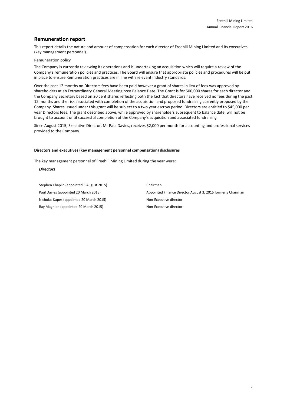# **Remuneration report**

This report details the nature and amount of compensation for each director of Freehill Mining Limited and its executives (key management personnel).

### Remuneration policy

The Company is currently reviewing its operations and is undertaking an acquisition which will require a review of the Company's remuneration policies and practices. The Board will ensure that appropriate policies and procedures will be put in place to ensure Remuneration practices are in line with relevant industry standards.

Over the past 12 months no Directors fees have been paid however a grant of shares in lieu of fees was approved by shareholders at an Extraordinary General Meeting post Balance Date. The Grant is for 500,000 shares for each director and the Company Secretary based on 20 cent shares reflecting both the fact that directors have received no fees during the past 12 months and the risk associated with completion of the acquisition and proposed fundraising currently proposed by the Company. Shares issued under this grant will be subject to a two year escrow period. Directors are entitled to \$45,000 per year Directors fees. The grant described above, while approved by shareholders subsequent to balance date, will not be brought to account until successful completion of the Company's acquisition and associated fundraising

Since August 2015, Executive Director, Mr Paul Davies, receives \$2,000 per month for accounting and professional services provided to the Company.

### **Directors and executives (key management personnel compensation) disclosures**

The key management personnel of Freehill Mining Limited during the year were:

### *Directors*

Stephen Chaplin (appointed 3 August 2015) Chairman Nicholas Kapes (appointed 20 March 2015) Non-Executive director Ray Magnion (appointed 20 March 2015) Non-Executive director

Paul Davies (appointed 20 March 2015) Appointed Finance Director August 3, 2015 formerly Chairman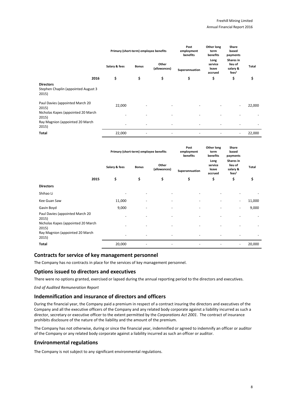|                                                                  | Primary (short-term) employee benefits |                          |                          | Post<br>employment<br>benefits | Other long<br>term<br>benefits      | Share<br>based<br>payments                            |        |
|------------------------------------------------------------------|----------------------------------------|--------------------------|--------------------------|--------------------------------|-------------------------------------|-------------------------------------------------------|--------|
|                                                                  | Salary & fees                          | <b>Bonus</b>             | Other<br>(allowances)    | Superannuation                 | Long<br>service<br>leave<br>accrued | Shares in<br>lieu of<br>salary &<br>fees <sup>1</sup> | Total  |
| 2016                                                             | \$                                     | \$                       | \$                       | \$                             | \$                                  | \$                                                    | \$     |
| <b>Directors</b><br>Stephen Chaplin (appointed August 3<br>2015) |                                        |                          |                          |                                |                                     |                                                       |        |
| Paul Davies (appointed March 20<br>2015)                         | 22,000                                 |                          |                          |                                |                                     | $\overline{\phantom{a}}$                              | 22,000 |
| Nicholas Kapes (appointed 20 March<br>2015)                      |                                        |                          |                          |                                |                                     |                                                       |        |
| Ray Magnion (appointed 20 March<br>2015)                         |                                        |                          |                          |                                |                                     |                                                       |        |
| <b>Total</b>                                                     | 22,000                                 | $\overline{\phantom{a}}$ | $\overline{\phantom{a}}$ | $\overline{\phantom{m}}$       |                                     | ٠                                                     | 22,000 |

|                                             |               | Primary (short-term) employee benefits |                          |                              | Other long<br>term<br>benefits      | Share<br>based<br>payments                            |              |
|---------------------------------------------|---------------|----------------------------------------|--------------------------|------------------------------|-------------------------------------|-------------------------------------------------------|--------------|
|                                             | Salary & fees | <b>Bonus</b>                           | Other<br>(allowances)    | Superannuation               | Long<br>service<br>leave<br>accrued | Shares in<br>lieu of<br>salary &<br>fees <sup>1</sup> | <b>Total</b> |
| 2015                                        | \$            | \$                                     | \$                       | \$                           | \$                                  | \$                                                    | \$           |
| <b>Directors</b>                            |               |                                        |                          |                              |                                     |                                                       |              |
| Shihao Li                                   |               | $\overline{\phantom{a}}$               | $\overline{\phantom{a}}$ |                              |                                     |                                                       |              |
| Kee Guan Saw                                | 11,000        |                                        | $\overline{\phantom{a}}$ | $\qquad \qquad \blacksquare$ |                                     | $\overline{\phantom{a}}$                              | 11,000       |
| Gavin Boyd                                  | 9,000         |                                        |                          |                              |                                     | $\overline{\phantom{a}}$                              | 9,000        |
| Paul Davies (appointed March 20<br>2015)    |               |                                        |                          |                              |                                     |                                                       |              |
| Nicholas Kapes (appointed 20 March<br>2015) |               | ٠                                      | $\overline{\phantom{a}}$ |                              |                                     |                                                       |              |
| Ray Magnion (appointed 20 March<br>2015)    |               |                                        |                          |                              |                                     |                                                       |              |
| Total                                       | 20,000        |                                        |                          |                              |                                     |                                                       | 20,000       |

# **Contracts for service of key management personnel**

The Company has no contracts in place for the services of key management personnel.

# **Options issued to directors and executives**

There were no options granted, exercised or lapsed during the annual reporting period to the directors and executives.

*End of Audited Remuneration Report*

# **Indemnification and insurance of directors and officers**

During the financial year, the Company paid a premium in respect of a contract insuring the directors and executives of the Company and all the executive officers of the Company and any related body corporate against a liability incurred as such a director, secretary or executive officer to the extent permitted by the *Corporations Act 2001*. The contract of insurance prohibits disclosure of the nature of the liability and the amount of the premium.

The Company has not otherwise, during or since the financial year, indemnified or agreed to indemnify an officer or auditor of the Company or any related body corporate against a liability incurred as such an officer or auditor.

# **Environmental regulations**

The Company is not subject to any significant environmental regulations.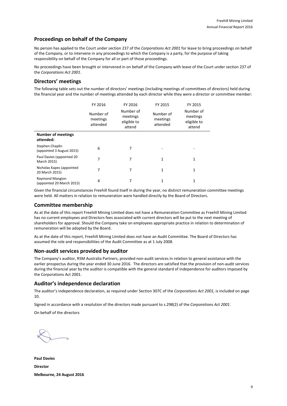# **Proceedings on behalf of the Company**

No person has applied to the Court under section 237 of the *Corporations Act 2001* for leave to bring proceedings on behalf of the Company, or to intervene in any proceedings to which the Company is a party, for the purpose of taking responsibility on behalf of the Company for all or part of those proceedings.

No proceedings have been brought or intervened in on behalf of the Company with leave of the Court under section 237 of the *Corporations Act 2001*.

# **Directors' meetings**

The following table sets out the number of directors' meetings (including meetings of committees of directors) held during the financial year and the number of meetings attended by each director while they were a director or committee member:

|                                                     | FY 2016                           | FY 2016                                        | FY 2015                           | FY 2015                                        |
|-----------------------------------------------------|-----------------------------------|------------------------------------------------|-----------------------------------|------------------------------------------------|
|                                                     | Number of<br>meetings<br>attended | Number of<br>meetings<br>eligible to<br>attend | Number of<br>meetings<br>attended | Number of<br>meetings<br>eligible to<br>attend |
| <b>Number of meetings</b><br>attended:              |                                   |                                                |                                   |                                                |
| Stephen Chaplin<br>(appointed 3 August 2015)        | 6                                 | 7                                              |                                   |                                                |
| Paul Davies (appointed 20<br>March 2015)            | 7                                 | 7                                              | 1                                 | 1                                              |
| Nicholas Kapes (appointed<br>20 March 2015)         | 7                                 | 7                                              | $\mathbf{1}$                      | 1                                              |
| <b>Raymond Mangion</b><br>(appointed 20 March 2015) | 4                                 | 7                                              | 1                                 | 1                                              |

Given the financial circumstances Freehill found itself in during the year, no distinct remuneration committee meetings were held. All matters in relation to remuneration were handled directly by the Board of Directors.

# **Committee membership**

As at the date of this report Freehill Mining Limited does not have a Remuneration Committee as Freehill Mining Limited has no current employees and Directors fees associated with current directors will be put to the next meeting of shareholders for approval. Should the Company take on employees appropriate practice in relation to determination of remuneration will be adopted by the Board.

As at the date of this report, Freehill Mining Limited does not have an Audit Committee. The Board of Directors has assumed the role and responsibilities of the Audit Committee as at 1 July 2008.

# **Non-audit services provided by auditor**

The Company's auditor, RSM Australia Partners, provided non-audit services in relation to general assistance with the earlier prospectus during the year ended 30 June 2016. The directors are satisfied that the provision of non-audit services during the financial year by the auditor is compatible with the general standard of independence for auditors imposed by the Corporations Act 2001.

# **Auditor's independence declaration**

The auditor's independence declaration, as required under Section 307C of the *Corporations Act 2001*, is included on page 10.

Signed in accordance with a resolution of the directors made pursuant to s.298(2) of the *Corporations Act 2001*.

On behalf of the directors

**Paul Davies Director Melbourne, 24 August 2016**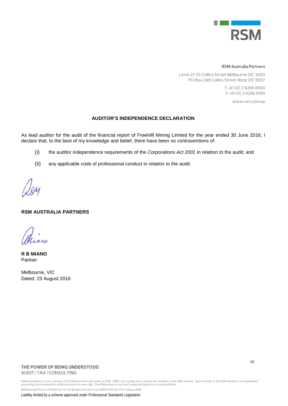

### **RSM Australia Partners**

Level 21, 55 Collins Street Melbourne VIC 3000 PO Box 248 Collins Street West VIC 8007

> T +61 (0) 3 9286 8000 F +61 (0) 3 9286 8199

> > www.rsm.com.au

# **AUDITOR'S INDEPENDENCE DECLARATION**

As lead auditor for the audit of the financial report of Freehilll Mining Limited for the year ended 30 June 2016, I declare that, to the best of my knowledge and belief, there have been no contraventions of:

- (i) the auditor independence requirements of the *Corporations Act 2001* in relation to the audit; and
- (ii) any applicable code of professional conduct in relation to the audit.

# **RSM AUSTRALIA PARTNERS**

**R B MIANO** Partner

Melbourne, VIC Dated: 23 August 2016

# **THE POWER OF BEING UNDERSTOOD** AUDIT | TAX | CONSULTING

10

RSM Australia Pty Ltd is a member of the RSM network and trades as RSM. RSM is the trading name used by the members of the RSM network. Each member of the RSM network is an independent<br>accounting and consulting firm whic RSM Australia Pty Ltd ACN 009 321 377 atf Birdanco Practice Trust ABN 65 319 382 479 trading as RSM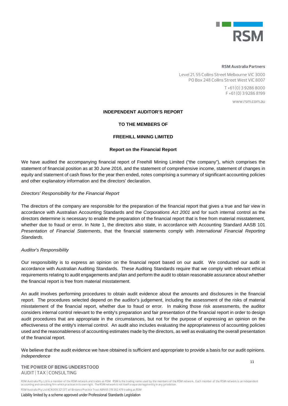

#### **RSM Australia Partners**

Level 21, 55 Collins Street Melbourne VIC 3000 PO Box 248 Collins Street West VIC 8007

> T +61 (0) 3 9286 8000 F +61 (0) 3 9286 8199

> > www.rsm.com.au

# **INDEPENDENT AUDITOR'S REPORT**

# **TO THE MEMBERS OF**

# **FREEHILL MINING LIMITED**

# **Report on the Financial Report**

We have audited the accompanying financial report of Freehill Mining Limited ("the company"), which comprises the statement of financial position as at 30 June 2016, and the statement of comprehensive income, statement of changes in equity and statement of cash flows for the year then ended, notes comprising a summary of significant accounting policies and other explanatory information and the directors' declaration.

### *Directors' Responsibility for the Financial Report*

The directors of the company are responsible for the preparation of the financial report that gives a true and fair view in accordance with Australian Accounting Standards and the *Corporations Act 2001* and for such internal control as the directors determine is necessary to enable the preparation of the financial report that is free from material misstatement, whether due to fraud or error. In Note 1, the directors also state, in accordance with Accounting Standard AASB 101 *Presentation of Financial Statements*, that the financial statements comply with *International Financial Reporting Standards.*

### *Auditor's Responsibility*

Our responsibility is to express an opinion on the financial report based on our audit. We conducted our audit in accordance with Australian Auditing Standards. These Auditing Standards require that we comply with relevant ethical requirements relating to audit engagements and plan and perform the audit to obtain reasonable assurance about whether the financial report is free from material misstatement.

An audit involves performing procedures to obtain audit evidence about the amounts and disclosures in the financial report. The procedures selected depend on the auditor's judgement, including the assessment of the risks of material misstatement of the financial report, whether due to fraud or error. In making those risk assessments, the auditor considers internal control relevant to the entity's preparation and fair presentation of the financial report in order to design audit procedures that are appropriate in the circumstances, but not for the purpose of expressing an opinion on the effectiveness of the entity's internal control. An audit also includes evaluating the appropriateness of accounting policies used and the reasonableness of accounting estimates made by the directors, as well as evaluating the overall presentation of the financial report.

We believe that the audit evidence we have obtained is sufficient and appropriate to provide a basis for our audit opinions. *Independence*

# **THE POWER OF BEING UNDERSTOOD** AUDIT | TAX | CONSULTING

RSM Australia Pty Ltd is a member of the RSM network and trades as RSM. RSM is the trading name used by the members of the RSM network. Each member of the RSM network is an independent accounting and consulting firm which practices in its own right. The RSM network is not itself a separate legal entity in any jurisdiction. RSM Australia Pty Ltd ACN 009 321 377 atf Birdanco Practice Trust ABN 65 319 382 479 trading as RSM

Liability limited by a scheme approved under Professional Standards Legislation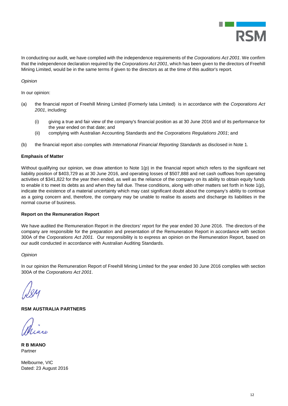

In conducting our audit, we have complied with the independence requirements of the *Corporations Act 2001*. We confirm that the independence declaration required by the *Corporations Act 2001*, which has been given to the directors of Freehill Mining Limited, would be in the same terms if given to the directors as at the time of this auditor's report*.*

# *Opinion*

In our opinion:

- (a) the financial report of Freehill Mining Limited (Formerly Iatia Limited) is in accordance with the *Corporations Act 2001*, including:
	- (i) giving a true and fair view of the company's financial position as at 30 June 2016 and of its performance for the year ended on that date; and
	- (ii) complying with Australian Accounting Standards and the *Corporations Regulations 2001*; and
- (b) the financial report also complies with *International Financial Reporting Standards* as disclosed in Note 1*.*

# **Emphasis of Matter**

Without qualifying our opinion, we draw attention to Note 1(p) in the financial report which refers to the significant net liability position of \$403,729 as at 30 June 2016, and operating losses of \$507,888 and net cash outflows from operating activities of \$341,822 for the year then ended, as well as the reliance of the company on its ability to obtain equity funds to enable it to meet its debts as and when they fall due. These conditions, along with other matters set forth in Note 1(p), indicate the existence of a material uncertainty which may cast significant doubt about the company's ability to continue as a going concern and, therefore, the company may be unable to realise its assets and discharge its liabilities in the normal course of business.

# **Report on the Remuneration Report**

We have audited the Remuneration Report in the directors' report for the year ended 30 June 2016. The directors of the company are responsible for the preparation and presentation of the Remuneration Report in accordance with section 300A of the *Corporations Act 2001.* Our responsibility is to express an opinion on the Remuneration Report, based on our audit conducted in accordance with Australian Auditing Standards.

*Opinion*

In our opinion the Remuneration Report of Freehill Mining Limited for the year ended 30 June 2016 complies with section 300A of the *Corporations Act 2001*.

# **RSM AUSTRALIA PARTNERS**

**R B MIANO** Partner

Melbourne, VIC Dated: 23 August 2016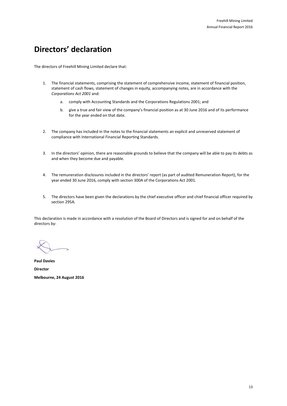# **Directors' declaration**

The directors of Freehill Mining Limited declare that:

- 1. The financial statements, comprising the statement of comprehensive income, statement of financial position, statement of cash flows, statement of changes in equity, accompanying notes, are in accordance with the *Corporations Act 2001* and:
	- a. comply with Accounting Standards and the Corporations Regulations 2001; and
	- b. give a true and fair view of the company's financial position as at 30 June 2016 and of its performance for the year ended on that date.
- 2. The company has included in the notes to the financial statements an explicit and unreserved statement of compliance with International Financial Reporting Standards.
- 3. In the directors' opinion, there are reasonable grounds to believe that the company will be able to pay its debts as and when they become due and payable.
- 4. The remuneration disclosures included in the directors' report (as part of audited Remuneration Report), for the year ended 30 June 2016, comply with section 300A of the Corporations Act 2001.
- 5. The directors have been given the declarations by the chief executive officer and chief financial officer required by section 295A.

This declaration is made in accordance with a resolution of the Board of Directors and is signed for and on behalf of the directors by:

**Paul Davies Director Melbourne, 24 August 2016**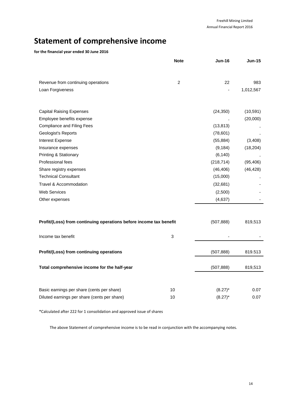# **Statement of comprehensive income**

# **for the financial year ended 30 June 2016**

|                                                                    | <b>Note</b>    | <b>Jun-16</b> | <b>Jun-15</b> |
|--------------------------------------------------------------------|----------------|---------------|---------------|
|                                                                    |                |               |               |
| Revenue from continuing operations                                 | $\overline{c}$ | 22            | 983           |
| Loan Forgiveness                                                   |                |               | 1,012,567     |
|                                                                    |                |               |               |
| <b>Capital Raising Expenses</b>                                    |                | (24, 350)     | (10, 591)     |
| Employee benefits expense                                          |                |               | (20,000)      |
| <b>Compliance and Filing Fees</b>                                  |                | (13, 813)     |               |
| Geologist's Reports                                                |                | (78, 601)     |               |
| Interest Expense                                                   |                | (55, 884)     | (3, 408)      |
| Insurance expenses                                                 |                | (9, 184)      | (18, 204)     |
| Printing & Stationary                                              |                | (6, 140)      |               |
| Professional fees                                                  |                | (218, 714)    | (95, 406)     |
| Share registry expenses                                            |                | (46, 406)     | (46, 428)     |
| <b>Technical Consultant</b>                                        |                | (15,000)      |               |
| Travel & Accommodation                                             |                | (32,681)      |               |
| <b>Web Services</b>                                                |                | (2,500)       |               |
| Other expenses                                                     |                | (4,637)       |               |
|                                                                    |                |               |               |
| Profit/(Loss) from continuing operations before income tax benefit |                | (507, 888)    | 819,513       |
| Income tax benefit                                                 | 3              |               |               |
| Profit/(Loss) from continuing operations                           |                | (507, 888)    | 819.513       |
| Total comprehensive income for the half-year                       |                | (507, 888)    | 819,513       |
|                                                                    |                |               |               |
| Basic earnings per share (cents per share)                         | 10             | $(8.27)^*$    | 0.07          |
| Diluted earnings per share (cents per share)                       | 10             | $(8.27)^*$    | 0.07          |
|                                                                    |                |               |               |

\*Calculated after 222 for 1 consolidation and approved issue of shares

The above Statement of comprehensive income is to be read in conjunction with the accompanying notes.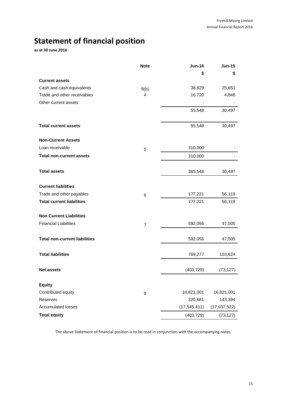# **Statement of financial position**

**as at 30 June 2016**

|                                      | <b>Note</b>    | <b>Jun-16</b>  | <b>Jun-15</b> |
|--------------------------------------|----------------|----------------|---------------|
|                                      |                | \$             | \$            |
| <b>Current assets</b>                |                |                |               |
| Cash and cash equivalents            | 9(b)           | 38,829         | 25,651        |
| Trade and other receivables          | 4              | 16,720         | 4,846         |
| Other current assets                 |                |                |               |
|                                      |                | 55,548         | 30,497        |
| <b>Total current assets</b>          |                | 55,548         | 30,497        |
| <b>Non-Current Assets</b>            |                |                |               |
| Loan receivable                      | 5              | 310,000        |               |
| <b>Total non-current assets</b>      |                | 310,000        |               |
| <b>Total assets</b>                  |                | 365,548        | 30,497        |
| <b>Current liabilities</b>           |                |                |               |
| Trade and other payables             | 6              | 177,221        | 56,119        |
| <b>Total current liabilities</b>     |                | 177,221        | 56,119        |
| <b>Non Current Liabilities</b>       |                |                |               |
| <b>Financial Liabilities</b>         | $\overline{7}$ | 592,056        | 47,505        |
| <b>Total non-current liabilities</b> |                | 592,056        | 47,505        |
| <b>Total liabilities</b>             |                | 769,277        | 103,624       |
| <b>Net assets</b>                    |                | (403, 729)     | (73, 127)     |
| <b>Equity</b>                        |                |                |               |
| Contributed equity                   | 8              | 16,821,001     | 16,821,001    |
| Reserves                             |                | 320,681        | 143,394       |
| <b>Accumulated losses</b>            |                | (17, 545, 411) | (17,037,522)  |
| <b>Total equity</b>                  |                | (403, 729)     | (73, 127)     |

The above Statement of financial position is to be read in conjunction with the accompanying notes.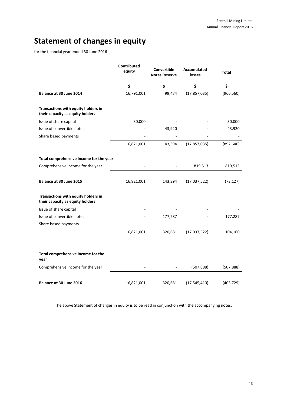# **Statement of changes in equity**

for the financial year ended 30 June 2016

|                                                                         | Contributed<br>equity | Convertible<br><b>Notes Reserve</b> | <b>Accumulated</b><br>losses | Total      |
|-------------------------------------------------------------------------|-----------------------|-------------------------------------|------------------------------|------------|
|                                                                         | \$                    | \$                                  | \$                           | \$         |
| Balance at 30 June 2014                                                 | 16,791,001            | 99,474                              | (17, 857, 035)               | (966, 560) |
| Transactions with equity holders in<br>their capacity as equity holders |                       |                                     |                              |            |
| Issue of share capital                                                  | 30,000                |                                     |                              | 30,000     |
| Issue of convertible notes                                              |                       | 43,920                              |                              | 43,920     |
| Share based payments                                                    |                       |                                     |                              |            |
|                                                                         | 16,821,001            | 143,394                             | (17, 857, 035)               | (892, 640) |
| Total comprehensive income for the year                                 |                       |                                     |                              |            |
| Comprehensive income for the year                                       |                       |                                     | 819,513                      | 819,513    |
| Balance at 30 June 2015                                                 | 16,821,001            | 143,394                             | (17,037,522)                 | (73, 127)  |
| Transactions with equity holders in<br>their capacity as equity holders |                       |                                     |                              |            |
| Issue of share capital                                                  |                       |                                     |                              |            |
| Issue of convertible notes                                              |                       | 177,287                             |                              | 177,287    |
| Share based payments                                                    |                       |                                     |                              |            |
|                                                                         | 16,821,001            | 320,681                             | (17,037,522)                 | 104,160    |
| Total comprehensive income for the<br>year                              |                       |                                     |                              |            |
| Comprehensive income for the year                                       |                       |                                     | (507, 888)                   | (507, 888) |
| Balance at 30 June 2016                                                 | 16,821,001            | 320,681                             | (17, 545, 410)               | (403, 729) |

The above Statement of changes in equity is to be read in conjunction with the accompanying notes.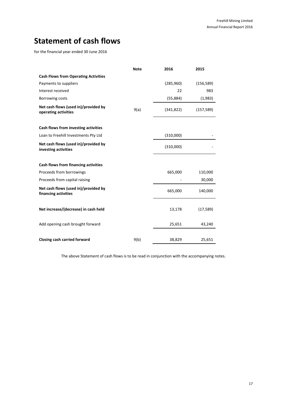# **Statement of cash flows**

for the financial year ended 30 June 2016

|                                                              | <b>Note</b> | 2016       | 2015       |
|--------------------------------------------------------------|-------------|------------|------------|
| <b>Cash Flows from Operating Activities</b>                  |             |            |            |
| Payments to suppliers                                        |             | (285,960)  | (156, 589) |
| Interest received                                            |             | 22         | 983        |
| Borrowing costs                                              |             | (55,884)   | (1,983)    |
| Net cash flows (used in)/provided by<br>operating activities | 9(a)        | (341, 822) | (157, 589) |
| Cash flows from investing activities                         |             |            |            |
| Loan to Freehill Investments Pty Ltd                         |             | (310,000)  |            |
| Net cash flows (used in)/provided by<br>investing activities |             | (310,000)  |            |
| Cash flows from financing activities                         |             |            |            |
| Proceeds from borrowings                                     |             | 665,000    | 110,000    |
| Proceeds from capital raising                                |             |            | 30,000     |
| Net cash flows (used in)/provided by<br>financing activities |             | 665,000    | 140,000    |
| Net increase/(decrease) in cash held                         |             | 13,178     | (17, 589)  |
| Add opening cash brought forward                             |             | 25,651     | 43,240     |
| Closing cash carried forward                                 | 9(b)        | 38,829     | 25,651     |

The above Statement of cash flows is to be read in conjunction with the accompanying notes.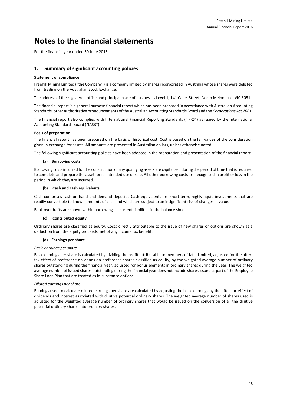# **Notes to the financial statements**

For the financial year ended 30 June 2015

# **1. Summary of significant accounting policies**

### **Statement of compliance**

Freehill Mining Limited ("the Company") is a company limited by shares incorporated in Australia whose shares were delisted from trading on the Australian Stock Exchange.

The address of the registered office and principal place of business is Level 1, 141 Capel Street, North Melbourne, VIC 3051.

The financial report is a general purpose financial report which has been prepared in accordance with Australian Accounting Standards, other authoritative pronouncements of the Australian Accounting Standards Board and the *Corporations Act 2001*.

The financial report also complies with International Financial Reporting Standards ("IFRS") as issued by the International Accounting Standards Board ("IASB").

### **Basis of preparation**

The financial report has been prepared on the basis of historical cost. Cost is based on the fair values of the consideration given in exchange for assets. All amounts are presented in Australian dollars, unless otherwise noted.

The following significant accounting policies have been adopted in the preparation and presentation of the financial report:

### **(a) Borrowing costs**

Borrowing costs incurred for the construction of any qualifying assets are capitalised during the period of time that is required to complete and prepare the asset for its intended use or sale. All other borrowing costs are recognised in profit or loss in the period in which they are incurred.

### **(b) Cash and cash equivalents**

Cash comprises cash on hand and demand deposits. Cash equivalents are short-term, highly liquid investments that are readily convertible to known amounts of cash and which are subject to an insignificant risk of changes in value.

Bank overdrafts are shown within borrowings in current liabilities in the balance sheet.

### **(c) Contributed equity**

Ordinary shares are classified as equity. Costs directly attributable to the issue of new shares or options are shown as a deduction from the equity proceeds, net of any income tax benefit.

### **(d) Earnings per share**

#### *Basic earnings per share*

Basic earnings per share is calculated by dividing the profit attributable to members of Iatia Limited, adjusted for the aftertax effect of preference dividends on preference shares classified as equity, by the weighted average number of ordinary shares outstanding during the financial year, adjusted for bonus elements in ordinary shares during the year. The weighted average number of issued shares outstanding during the financial year does not include shares issued as part of the Employee Share Loan Plan that are treated as in-substance options.

### *Diluted earnings per share*

Earnings used to calculate diluted earnings per share are calculated by adjusting the basic earnings by the after-tax effect of dividends and interest associated with dilutive potential ordinary shares. The weighted average number of shares used is adjusted for the weighted average number of ordinary shares that would be issued on the conversion of all the dilutive potential ordinary shares into ordinary shares.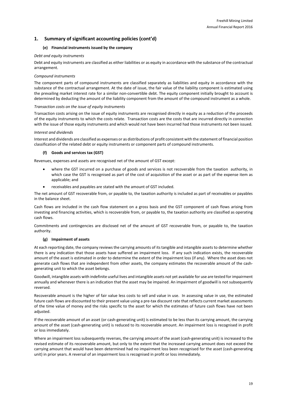### **(e) Financial instruments issued by the company**

### *Debt and equity instruments*

Debt and equity instruments are classified as either liabilities or as equity in accordance with the substance of the contractual arrangement.

#### *Compound instruments*

The component parts of compound instruments are classified separately as liabilities and equity in accordance with the substance of the contractual arrangement. At the date of issue, the fair value of the liability component is estimated using the prevailing market interest rate for a similar non-convertible debt. The equity component initially brought to account is determined by deducting the amount of the liability component from the amount of the compound instrument as a whole.

### *Transaction costs on the issue of equity instruments*

Transaction costs arising on the issue of equity instruments are recognised directly in equity as a reduction of the proceeds of the equity instruments to which the costs relate. Transaction costs are the costs that are incurred directly in connection with the issue of those equity instruments and which would not have been incurred had those instruments not been issued.

### *Interest and dividends*

Interest and dividends are classified as expenses or as distributions of profit consistent with the statement of financial position classification of the related debt or equity instruments or component parts of compound instruments.

### **(f) Goods and services tax (GST)**

Revenues, expenses and assets are recognised net of the amount of GST except:

- where the GST incurred on a purchase of goods and services is not recoverable from the taxation authority, in which case the GST is recognised as part of the cost of acquisition of the asset or as part of the expense item as applicable; and
- receivables and payables are stated with the amount of GST included.

The net amount of GST recoverable from, or payable to, the taxation authority is included as part of receivables or payables in the balance sheet.

Cash flows are included in the cash flow statement on a gross basis and the GST component of cash flows arising from investing and financing activities, which is recoverable from, or payable to, the taxation authority are classified as operating cash flows.

Commitments and contingencies are disclosed net of the amount of GST recoverable from, or payable to, the taxation authority.

### **(g) Impairment of assets**

At each reporting date, the company reviews the carrying amounts of its tangible and intangible assets to determine whether there is any indication that those assets have suffered an impairment loss. If any such indication exists, the recoverable amount of the asset is estimated in order to determine the extent of the impairment loss (if any). Where the asset does not generate cash flows that are independent from other assets, the company estimates the recoverable amount of the cashgenerating unit to which the asset belongs.

Goodwill, intangible assets with indefinite useful lives and intangible assets not yet available for use are tested for impairment annually and whenever there is an indication that the asset may be impaired. An impairment of goodwill is not subsequently reversed.

Recoverable amount is the higher of fair value less costs to sell and value in use. In assessing value in use, the estimated future cash flows are discounted to their present value using a pre-tax discount rate that reflects current market assessments of the time value of money and the risks specific to the asset for which the estimates of future cash flows have not been adjusted.

If the recoverable amount of an asset (or cash-generating unit) is estimated to be less than its carrying amount, the carrying amount of the asset (cash-generating unit) is reduced to its recoverable amount. An impairment loss is recognised in profit or loss immediately.

Where an impairment loss subsequently reverses, the carrying amount of the asset (cash-generating unit) is increased to the revised estimate of its recoverable amount, but only to the extent that the increased carrying amount does not exceed the carrying amount that would have been determined had no impairment loss been recognised for the asset (cash-generating unit) in prior years. A reversal of an impairment loss is recognised in profit or loss immediately.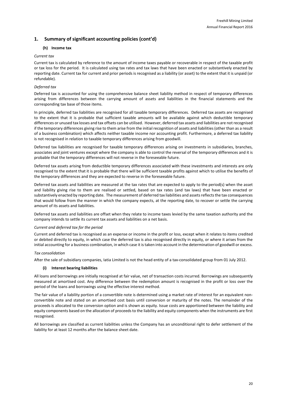### **(h) Income tax**

### *Current tax*

Current tax is calculated by reference to the amount of income taxes payable or recoverable in respect of the taxable profit or tax loss for the period. It is calculated using tax rates and tax laws that have been enacted or substantively enacted by reporting date. Current tax for current and prior periods is recognised as a liability (or asset) to the extent that it is unpaid (or refundable).

# *Deferred tax*

Deferred tax is accounted for using the comprehensive balance sheet liability method in respect of temporary differences arising from differences between the carrying amount of assets and liabilities in the financial statements and the corresponding tax base of those items.

In principle, deferred tax liabilities are recognised for all taxable temporary differences. Deferred tax assets are recognised to the extent that it is probable that sufficient taxable amounts will be available against which deductible temporary differences or unused tax losses and tax offsets can be utilised. However, deferred tax assets and liabilities are not recognised if the temporary differences giving rise to them arise from the initial recognition of assets and liabilities (other than as a result of a business combination) which affects neither taxable income nor accounting profit. Furthermore, a deferred tax liability is not recognised in relation to taxable temporary differences arising from goodwill.

Deferred tax liabilities are recognised for taxable temporary differences arising on investments in subsidiaries, branches, associates and joint ventures except where the company is able to control the reversal of the temporary differences and it is probable that the temporary differences will not reverse in the foreseeable future.

Deferred tax assets arising from deductible temporary differences associated with these investments and interests are only recognised to the extent that it is probable that there will be sufficient taxable profits against which to utilise the benefits of the temporary differences and they are expected to reverse in the foreseeable future.

Deferred tax assets and liabilities are measured at the tax rates that are expected to apply to the period(s) when the asset and liability giving rise to them are realised or settled, based on tax rates (and tax laws) that have been enacted or substantively enacted by reporting date. The measurement of deferred tax liabilities and assets reflects the tax consequences that would follow from the manner in which the company expects, at the reporting date, to recover or settle the carrying amount of its assets and liabilities.

Deferred tax assets and liabilities are offset when they relate to income taxes levied by the same taxation authority and the company intends to settle its current tax assets and liabilities on a net basis.

### *Current and deferred tax for the period*

Current and deferred tax is recognised as an expense or income in the profit or loss, except when it relates to items credited or debited directly to equity, in which case the deferred tax is also recognised directly in equity, or where it arises from the initial accounting for a business combination, in which case it is taken into account in the determination of goodwill or excess.

### *Tax consolidation*

After the sale of subsidiary companies, Iatia Limited is not the head entity of a tax-consolidated group from 01 July 2012.

# **(i) Interest bearing liabilities**

All loans and borrowings are initially recognised at fair value, net of transaction costs incurred. Borrowings are subsequently measured at amortised cost. Any difference between the redemption amount is recognised in the profit or loss over the period of the loans and borrowings using the effective interest method.

The fair value of a liability portion of a convertible note is determined using a market rate of interest for an equivalent nonconvertible note and stated on an amortised cost basis until conversion or maturity of the notes. The remainder of the proceeds is allocated to the conversion option and is shown as equity. Issue costs are apportioned between the liability and equity components based on the allocation of proceeds to the liability and equity components when the instruments are first recognised.

All borrowings are classified as current liabilities unless the Company has an unconditional right to defer settlement of the liability for at least 12 months after the balance sheet date.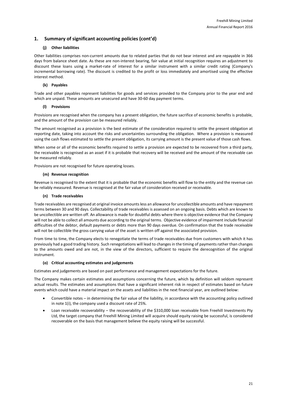### **(j) Other liabilities**

Other liabilities comprises non-current amounts due to related parties that do not bear interest and are repayable in 366 days from balance sheet date. As these are non-interest bearing, fair value at initial recognition requires an adjustment to discount these loans using a market-rate of interest for a similar instrument with a similar credit rating (Company's incremental borrowing rate). The discount is credited to the profit or loss immediately and amortised using the effective interest method.

### **(k) Payables**

Trade and other payables represent liabilities for goods and services provided to the Company prior to the year end and which are unpaid. These amounts are unsecured and have 30-60 day payment terms.

# **(l) Provisions**

Provisions are recognised when the company has a present obligation, the future sacrifice of economic benefits is probable, and the amount of the provision can be measured reliably.

The amount recognised as a provision is the best estimate of the consideration required to settle the present obligation at reporting date, taking into account the risks and uncertainties surrounding the obligation. Where a provision is measured using the cash flows estimated to settle the present obligation, its carrying amount is the present value of those cash flows.

When some or all of the economic benefits required to settle a provision are expected to be recovered from a third party, the receivable is recognised as an asset if it is probable that recovery will be received and the amount of the receivable can be measured reliably.

Provisions are not recognised for future operating losses.

### **(m) Revenue recognition**

Revenue is recognised to the extent that it is probable that the economic benefits will flow to the entity and the revenue can be reliably measured. Revenue is recognised at the fair value of consideration received or receivable.

### **(n) Trade receivables**

Trade receivables are recognised at original invoice amounts less an allowance for uncollectible amounts and have repayment terms between 30 and 90 days. Collectability of trade receivables is assessed on an ongoing basis. Debts which are known to be uncollectible are written off. An allowance is made for doubtful debts where there is objective evidence that the Company will not be able to collect all amounts due according to the original terms. Objective evidence of impairment include financial difficulties of the debtor, default payments or debts more than 90 days overdue. On confirmation that the trade receivable will not be collectible the gross carrying value of the asset is written off against the associated provision.

From time to time, the Company elects to renegotiate the terms of trade receivables due from customers with which it has previously had a good trading history. Such renegotiations will lead to changes in the timing of payments rather than changes to the amounts owed and are not, in the view of the directors, sufficient to require the derecognition of the original instrument.

### **(o) Critical accounting estimates and judgements**

Estimates and judgements are based on past performance and management expectations for the future.

The Company makes certain estimates and assumptions concerning the future, which by definition will seldom represent actual results. The estimates and assumptions that have a significant inherent risk in respect of estimates based on future events which could have a material impact on the assets and liabilities in the next financial year, are outlined below:

- Convertible notes in determining the fair value of the liability, in accordance with the accounting policy outlined in note 1(i), the company used a discount rate of 25%.
- Loan receivable recoverability the recoverability of the \$310,000 loan receivable from Freehill Investments Pty Ltd, the target company that Freehill Mining Limited will acquire should equity raising be successful, is considered recoverable on the basis that management believe the equity raising will be successful.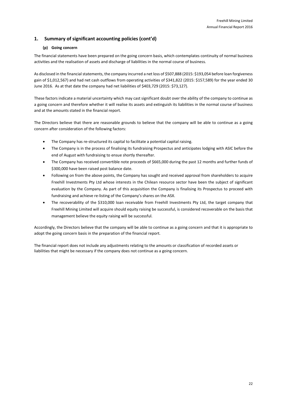# **(p) Going concern**

The financial statements have been prepared on the going concern basis, which contemplates continuity of normal business activities and the realisation of assets and discharge of liabilities in the normal course of business.

As disclosed in the financial statements, the company incurred a net loss of \$507,888 (2015: \$193,054 before loan forgiveness gain of \$1,012,567) and had net cash outflows from operating activities of \$341,822 (2015: \$157,589) for the year ended 30 June 2016. As at that date the company had net liabilities of \$403,729 (2015: \$73,127).

These factors indicate a material uncertainty which may cast significant doubt over the ability of the company to continue as a going concern and therefore whether it will realise its assets and extinguish its liabilities in the normal course of business and at the amounts stated in the financial report.

The Directors believe that there are reasonable grounds to believe that the company will be able to continue as a going concern after consideration of the following factors:

- The Company has re-structured its capital to facilitate a potential capital raising.
- The Company is in the process of finalising its fundraising Prospectus and anticipates lodging with ASIC before the end of August with fundraising to ensue shortly thereafter.
- The Company has received convertible note proceeds of \$665,000 during the past 12 months and further funds of \$300,000 have been raised post balance date.
- Following on from the above points, the Company has sought and received approval from shareholders to acquire Freehill Investments Pty Ltd whose interests in the Chilean resource sector have been the subject of significant evaluation by the Company. As part of this acquisition the Company is finalising its Prospectus to proceed with fundraising and achieve re-listing of the Company's shares on the ASX.
- The recoverability of the \$310,000 loan receivable from Freehill Investments Pty Ltd, the target company that Freehill Mining Limited will acquire should equity raising be successful, is considered recoverable on the basis that management believe the equity raising will be successful.

Accordingly, the Directors believe that the company will be able to continue as a going concern and that it is appropriate to adopt the going concern basis in the preparation of the financial report.

The financial report does not include any adjustments relating to the amounts or classification of recorded assets or liabilities that might be necessary if the company does not continue as a going concern.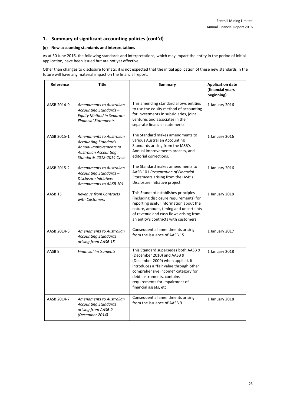# **(q) New accounting standards and interpretations**

As at 30 June 2016, the following standards and interpretations, which may impact the entity in the period of initial application, have been issued but are not yet effective:

Other than changes to disclosure formats, it is not expected that the initial application of these new standards in the future will have any material impact on the financial report.

| Reference          | Title                                                                                                                                     | Summary                                                                                                                                                                                                                                                                          | <b>Application date</b><br>(financial years<br>beginning) |
|--------------------|-------------------------------------------------------------------------------------------------------------------------------------------|----------------------------------------------------------------------------------------------------------------------------------------------------------------------------------------------------------------------------------------------------------------------------------|-----------------------------------------------------------|
| AASB 2014-9        | Amendments to Australian<br>Accounting Standards -<br><b>Equity Method in Separate</b><br><b>Financial Statements</b>                     | This amending standard allows entities<br>to use the equity method of accounting<br>for investments in subsidiaries, joint<br>ventures and associates in their<br>separate financial statements.                                                                                 | 1 January 2016                                            |
| AASB 2015-1        | Amendments to Australian<br>Accounting Standards -<br>Annual Improvements to<br><b>Australian Accounting</b><br>Standards 2012-2014 Cycle | The Standard makes amendments to<br>various Australian Accounting<br>Standards arising from the IASB's<br>Annual Improvements process, and<br>editorial corrections.                                                                                                             | 1 January 2016                                            |
| AASB 2015-2        | Amendments to Australian<br>Accounting Standards-<br>Disclosure Initiative:<br>Amendments to AASB 101                                     | The Standard makes amendments to<br>AASB 101 Presentation of Financial<br>Statements arising from the IASB's<br>Disclosure Initiative project.                                                                                                                                   | 1 January 2016                                            |
| AASB <sub>15</sub> | <b>Revenue from Contracts</b><br>with Customers                                                                                           | This Standard establishes principles<br>(including disclosure requirements) for<br>reporting useful information about the<br>nature, amount, timing and uncertainty<br>of revenue and cash flows arising from<br>an entity's contracts with customers.                           | 1 January 2018                                            |
| AASB 2014-5        | Amendments to Australian<br><b>Accounting Standards</b><br>arising from AASB 15                                                           | Consequential amendments arising<br>from the issuance of AASB 15.                                                                                                                                                                                                                | 1 January 2017                                            |
| AASB <sub>9</sub>  | <b>Financial Instruments</b>                                                                                                              | This Standard supersedes both AASB 9<br>(December 2010) and AASB 9<br>(December 2009) when applied. It<br>introduces a "fair value through other<br>comprehensive income" category for<br>debt instruments, contains<br>requirements for impairment of<br>financial assets, etc. | 1 January 2018                                            |
| AASB 2014-7        | <b>Amendments to Australian</b><br><b>Accounting Standards</b><br>arising from AASB 9<br>(December 2014)                                  | Consequential amendments arising<br>from the issuance of AASB 9                                                                                                                                                                                                                  | 1 January 2018                                            |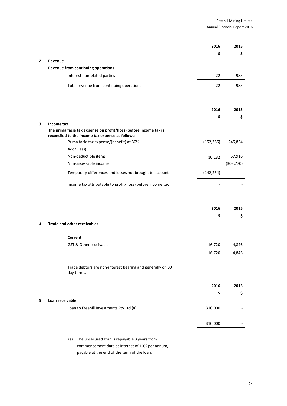|   |                                                                                                                       | 2016                     | 2015       |
|---|-----------------------------------------------------------------------------------------------------------------------|--------------------------|------------|
| 2 | Revenue                                                                                                               | \$                       | \$         |
|   | Revenue from continuing operations                                                                                    |                          |            |
|   | Interest - unrelated parties                                                                                          | 22                       | 983        |
|   | Total revenue from continuing operations                                                                              | 22                       | 983        |
|   |                                                                                                                       |                          |            |
|   |                                                                                                                       | 2016                     | 2015       |
|   |                                                                                                                       | \$                       | \$         |
| 3 | Income tax                                                                                                            |                          |            |
|   | The prima facie tax expense on profit/(loss) before income tax is<br>reconciled to the income tax expense as follows: |                          |            |
|   | Prima facie tax expense/(benefit) at 30%                                                                              | (152, 366)               | 245,854    |
|   | Add/(Less):                                                                                                           |                          |            |
|   | Non-deductible items                                                                                                  | 10,132                   | 57,916     |
|   | Non-assessable income                                                                                                 | $\overline{\phantom{a}}$ | (303, 770) |
|   | Temporary differences and losses not brought to account                                                               | (142, 234)               |            |
|   | Income tax attributable to profit/(loss) before income tax                                                            |                          |            |
|   |                                                                                                                       |                          |            |
|   |                                                                                                                       | 2016                     | 2015       |
|   |                                                                                                                       | \$                       | \$         |
| 4 | <b>Trade and other receivables</b>                                                                                    |                          |            |
|   | Current                                                                                                               |                          |            |
|   | <b>GST &amp; Other receivable</b>                                                                                     | 16,720                   | 4,846      |
|   |                                                                                                                       | 16,720                   | 4,846      |
|   | Trade debtors are non-interest bearing and generally on 30<br>day terms.                                              |                          |            |
|   |                                                                                                                       | 2016                     | 2015       |
|   |                                                                                                                       | \$                       | \$         |
| 5 | Loan receivable                                                                                                       |                          |            |
|   | Loan to Freehill Investments Pty Ltd (a)                                                                              | 310,000                  |            |
|   |                                                                                                                       |                          |            |
|   |                                                                                                                       | 310,000                  |            |
|   |                                                                                                                       |                          |            |

(a) The unsecured loan is repayable 3 years from commencement date at interest of 10% per annum, payable at the end of the term of the loan.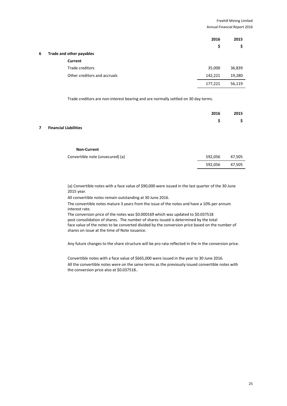|   |                              | 2016    | 2015   |
|---|------------------------------|---------|--------|
|   |                              | \$      | \$     |
| 6 | Trade and other payables     |         |        |
|   | Current                      |         |        |
|   | Trade creditors              | 35,000  | 36,839 |
|   | Other creditors and accruals | 142,221 | 19,280 |
|   |                              | 177,221 | 56,119 |

Trade creditors are non-interest bearing and are normally settled on 30 day terms.

|  |  |  |  | 2016 2015                                                |
|--|--|--|--|----------------------------------------------------------|
|  |  |  |  | $\begin{array}{ccc} \texttt{S} & \texttt{S} \end{array}$ |
|  |  |  |  |                                                          |

# **7 Financial Liabilities**

### **Non-Current**

| Convertible note (unsecured) (a) | 592.056 | 47,505 |
|----------------------------------|---------|--------|
|                                  | 592.056 | 47.505 |

(a) Convertible notes with a face value of \$90,000 were issued in the last quarter of the 30 June 2015 year.

All convertible notes remain outstanding at 30 June 2016.

The convertible notes mature 3 years from the issue of the notes and have a 10% per annum interest rate.

The conversion price of the notes was \$0.000169 which was updated to \$0.037518 post consolidation of shares. The number of shares issued is determined by the total face value of the notes to be converted divided by the conversion price based on the number of shares on issue at the time of Note issuance.

Any future changes to the share structure will be pro rata reflected in the in the conversion price.

Convertible notes with a face value of \$665,000 were issued in the year to 30 June 2016.

All the convertible notes were on the same terms as the previously issued convertible notes with the conversion price also at \$0.037518..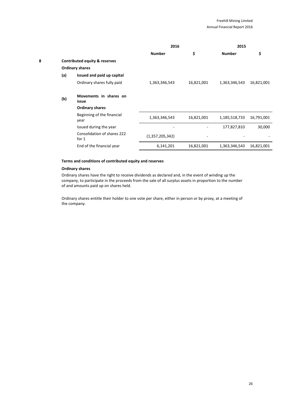|   |     |                                          | 2016            |            | 2015          |            |
|---|-----|------------------------------------------|-----------------|------------|---------------|------------|
|   |     |                                          | <b>Number</b>   | \$         | <b>Number</b> | \$         |
| 8 |     | <b>Contributed equity &amp; reserves</b> |                 |            |               |            |
|   |     | <b>Ordinary shares</b>                   |                 |            |               |            |
|   | (a) | Issued and paid up capital               |                 |            |               |            |
|   |     | Ordinary shares fully paid               | 1,363,346,543   | 16,821,001 | 1,363,346,543 | 16,821,001 |
|   | (b) | Movements in shares on<br>issue          |                 |            |               |            |
|   |     | <b>Ordinary shares</b>                   |                 |            |               |            |
|   |     | Beginning of the financial<br>year       | 1,363,346,543   | 16,821,001 | 1,185,518,733 | 16,791,001 |
|   |     | Issued during the year                   |                 |            | 177,827,810   | 30,000     |
|   |     | Consolidation of shares 222<br>for $1$   | (1,357,205,342) |            |               |            |
|   |     | End of the financial year                | 6,141,201       | 16,821,001 | 1,363,346,543 | 16,821,001 |
|   |     |                                          |                 |            |               |            |

# **Terms and conditions of contributed equity and reserves**

# **Ordinary shares**

Ordinary shares have the right to receive dividends as declared and, in the event of winding up the company, to participate in the proceeds from the sale of all surplus assets in proportion to the number of and amounts paid up on shares held.

Ordinary shares entitle their holder to one vote per share, either in person or by proxy, at a meeting of the company.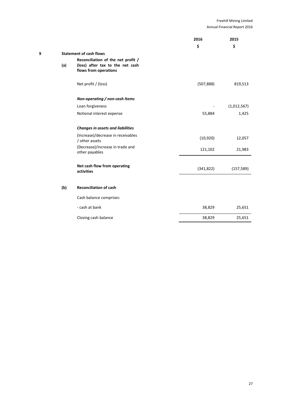|   |     |                                                                                                 | 2016       | 2015        |
|---|-----|-------------------------------------------------------------------------------------------------|------------|-------------|
|   |     |                                                                                                 | \$         | \$          |
| 9 |     | <b>Statement of cash flows</b>                                                                  |            |             |
|   | (a) | Reconciliation of the net profit /<br>(loss) after tax to the net cash<br>flows from operations |            |             |
|   |     | Net profit / (loss)                                                                             | (507, 888) | 819,513     |
|   |     | Non-operating / non-cash Items                                                                  |            |             |
|   |     | Loan forgiveness                                                                                |            | (1,012,567) |
|   |     | Notional interest expense                                                                       | 55,884     | 1,425       |
|   |     | <b>Changes in assets and liabilities</b>                                                        |            |             |
|   |     | (Increase)/decrease in receivables<br>/ other assets                                            | (10, 920)  | 12,057      |
|   |     | (Decrease)/increase in trade and<br>other payables                                              | 121,102    | 21,983      |
|   |     | Net cash flow from operating<br>activities                                                      | (341, 822) | (157, 589)  |
|   | (b) | <b>Reconciliation of cash</b>                                                                   |            |             |
|   |     | Cash balance comprises:                                                                         |            |             |
|   |     | - cash at bank                                                                                  | 38,829     | 25,651      |
|   |     | Closing cash balance                                                                            | 38,829     | 25,651      |
|   |     |                                                                                                 |            |             |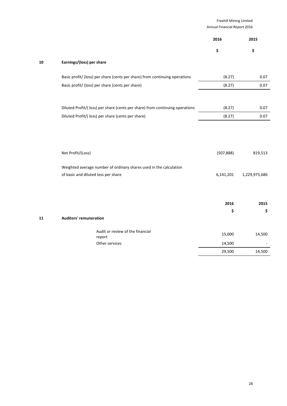|    |                                                                              | Freehill Mining Limited<br>Annual Financial Report 2016 |               |
|----|------------------------------------------------------------------------------|---------------------------------------------------------|---------------|
|    |                                                                              | 2016                                                    | 2015          |
|    |                                                                              | \$                                                      | \$            |
| 10 | Earnings/(loss) per share                                                    |                                                         |               |
|    | Basic profit/ (loss) per share (cents per share) from continuing operations  | (8.27)                                                  | 0.07          |
|    | Basic profit/ (loss) per share (cents per share)                             | (8.27)                                                  | 0.07          |
|    |                                                                              |                                                         |               |
|    | Diluted Profit/(loss) per share (cents per share) from continuing operations | (8.27)                                                  | 0.07          |
|    | Diluted Profit/(loss) per share (cents per share)                            | (8.27)                                                  | 0.07          |
|    |                                                                              |                                                         |               |
|    |                                                                              |                                                         |               |
|    | Net Profit/(Loss)                                                            | (507, 888)                                              | 819,513       |
|    | Weighted average number of ordinary shares used in the calculation           |                                                         |               |
|    | of basic and diluted loss per share                                          | 6,141,201                                               | 1,229,975,686 |
|    |                                                                              |                                                         |               |
|    |                                                                              |                                                         |               |
|    |                                                                              | 2016<br>\$                                              | 2015<br>\$    |
| 11 | <b>Auditors' remuneration</b>                                                |                                                         |               |
|    | Audit or review of the financial                                             |                                                         |               |
|    | report                                                                       | 15,000                                                  | 14,500        |
|    | Other services                                                               | 14,500                                                  |               |
|    |                                                                              | 29,500                                                  | 14,500        |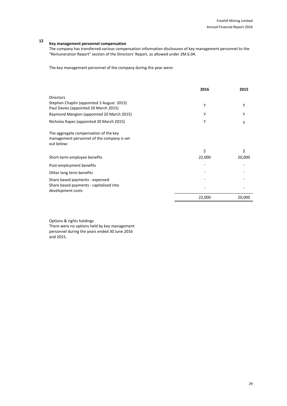# **<sup>12</sup> Key management personnel compensation**

The company has transferred various compensation information disclosures of key management personnel to the "Remuneration Report" section of the Directors' Report, as allowed under 2M.6.04.

The key management personnel of the company during the year were:

|                                                                                                   | 2016   | 2015   |
|---------------------------------------------------------------------------------------------------|--------|--------|
| <b>Directors</b>                                                                                  |        |        |
| Stephen Chaplin (appointed 3 August 2015)<br>Paul Davies (appointed 20 March 2015)                | Υ      | Υ      |
| Raymond Mangion (appointed 20 March 2015)                                                         | Υ      | γ      |
| Nicholas Kapes (appointed 20 March 2015)                                                          | Υ      | Υ      |
| The aggregate compensation of the key<br>management personnel of the company is set<br>out below: |        |        |
|                                                                                                   | Ś.     | \$     |
| Short-term employee benefits                                                                      | 22,000 | 20,000 |
| Post-employment benefits                                                                          |        |        |
| Other long term benefits                                                                          |        |        |
| Share based payments - expensed                                                                   |        |        |
| Share based payments - capitalised into<br>development costs                                      |        |        |
|                                                                                                   | 22,000 | 20,000 |

Options & rights holdings

There were no options held by key management personnel during the years ended 30 June 2016 and 2015.

29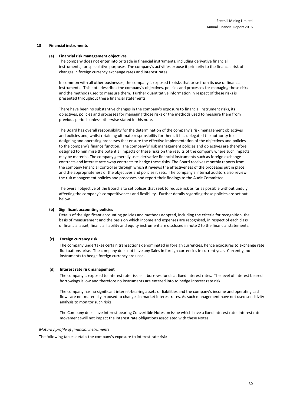### **13 Financial instruments**

#### **(a) Financial risk management objectives**

The company does not enter into or trade in financial instruments, including derivative financial instruments, for speculative purposes. The company's activities expose it primarily to the financial risk of changes in foreign currency exchange rates and interest rates.

In common with all other businesses, the company is exposed to risks that arise from its use of financial instruments. This note describes the company's objectives, policies and processes for managing those risks and the methods used to measure them. Further quantitative information in respect of these risks is presented throughout these financial statements.

There have been no substantive changes in the company's exposure to financial instrument risks, its objectives, policies and processes for managing those risks or the methods used to measure them from previous periods unless otherwise stated in this note.

The Board has overall responsibility for the determination of the company's risk management objectives and policies and, whilst retaining ultimate responsibility for them, it has delegated the authority for designing and operating processes that ensure the effective implementation of the objectives and policies to the company's finance function. The company's' risk management policies and objectives are therefore designed to minimise the potential impacts of these risks on the results of the company where such impacts may be material. The company generally uses derivative financial instruments such as foreign exchange contracts and interest rate swap contracts to hedge these risks. The Board receives monthly reports from the company Financial Controller through which it reviews the effectiveness of the processes put in place and the appropriateness of the objectives and policies it sets. The company's internal auditors also review the risk management policies and processes and report their findings to the Audit Committee.

The overall objective of the Board is to set polices that seek to reduce risk as far as possible without unduly affecting the company's competitiveness and flexibility. Further details regarding these policies are set out below.

### **(b) Significant accounting policies**

Details of the significant accounting policies and methods adopted, including the criteria for recognition, the basis of measurement and the basis on which income and expenses are recognised, in respect of each class of financial asset, financial liability and equity instrument are disclosed in note 2 to the financial statements.

### **(c) Foreign currency risk**

The company undertakes certain transactions denominated in foreign currencies, hence exposures to exchange rate fluctuations arise. The company does not have any Sales in foreign currencies in current year. Currently, no instruments to hedge foreign currency are used.

#### **(d) Interest rate risk management**

The company is exposed to interest rate risk as it borrows funds at fixed interest rates. The level of interest beared borrowings is low and therefore no instruments are entered into to hedge interest rate risk.

The company has no significant interest-bearing assets or liabilities and the company's income and operating cash flows are not materially exposed to changes in market interest rates. As such management have not used sensitivity analysis to monitor such risks.

The Company does have interest bearing Convertible Notes on issue which have a fixed interest rate. Interest rate movement swill not impact the interest rate obligations associated with these Notes.

#### *Maturity profile of financial instruments*

The following tables details the company's exposure to interest rate risk: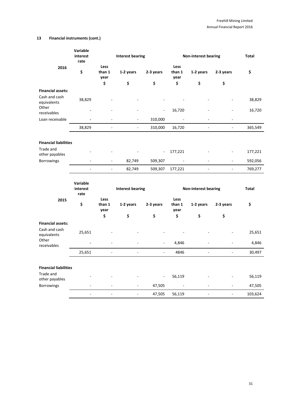# **13 Financial instruments (cont.)**

|                                                                   | Variable<br>interest<br>rate |                              | <b>Interest bearing</b>  |                          |                              | Non-interest bearing     |                          | Total   |
|-------------------------------------------------------------------|------------------------------|------------------------------|--------------------------|--------------------------|------------------------------|--------------------------|--------------------------|---------|
| 2016                                                              | \$                           | Less<br>than 1<br>year       | 1-2 years                | 2-3 years                | Less<br>than 1<br>year       | 1-2 years                | 2-3 years                | \$      |
|                                                                   |                              | \$                           | \$                       | \$                       | \$                           | \$                       | \$                       |         |
| <b>Financial assets:</b><br>Cash and cash<br>equivalents<br>Other | 38,829                       |                              |                          |                          |                              |                          |                          | 38,829  |
| receivables                                                       |                              |                              |                          |                          | 16,720                       |                          |                          | 16,720  |
| Loan receivable                                                   |                              |                              | ÷,                       | 310,000                  |                              |                          |                          |         |
|                                                                   | 38,829                       | $\overline{\phantom{a}}$     | $\overline{\phantom{a}}$ | 310,000                  | 16,720                       | $\overline{\phantom{a}}$ | ÷,                       | 365,549 |
| <b>Financial liabilities</b>                                      |                              |                              |                          |                          |                              |                          |                          |         |
| Trade and<br>other payables                                       |                              |                              |                          | $\overline{\phantom{a}}$ | 177,221                      |                          |                          | 177,221 |
| Borrowings                                                        |                              | $\overline{a}$               | 82,749                   | 509,307                  |                              |                          |                          | 592,056 |
|                                                                   | $\overline{\phantom{a}}$     | $\overline{\phantom{a}}$     | 82,749                   | 509,307                  | 177,221                      |                          | $\overline{\phantom{a}}$ | 769,277 |
|                                                                   | Variable<br>interest<br>rate |                              | <b>Interest bearing</b>  |                          |                              | Non-interest bearing     |                          | Total   |
| 2015                                                              | \$                           | Less<br>than 1<br>year<br>\$ | 1-2 years<br>\$          | 2-3 years<br>\$          | Less<br>than 1<br>year<br>\$ | 1-2 years<br>\$          | 2-3 years<br>\$          | \$      |
| <b>Financial assets:</b>                                          |                              |                              |                          |                          |                              |                          |                          |         |
| Cash and cash<br>equivalents                                      | 25,651                       |                              |                          |                          |                              |                          |                          | 25,651  |
| Other<br>receivables                                              |                              |                              |                          |                          | 4,846                        |                          |                          | 4,846   |
|                                                                   | 25,651                       | ÷,                           |                          | $\overline{\phantom{a}}$ | 4846                         | ÷                        | $\overline{\phantom{a}}$ | 30,497  |
| <b>Financial liabilities</b>                                      |                              |                              |                          |                          |                              |                          |                          |         |
| Trade and<br>other payables                                       |                              |                              |                          |                          | 56,119                       |                          |                          | 56,119  |
| <b>Borrowings</b>                                                 |                              |                              |                          | 47,505                   |                              |                          |                          | 47,505  |
|                                                                   |                              |                              |                          |                          |                              |                          |                          |         |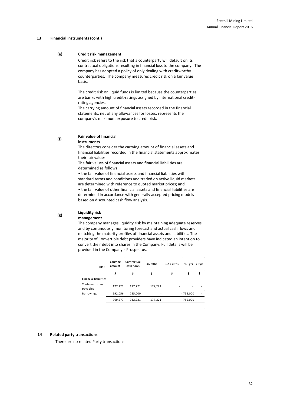#### **13 Financial instruments (cont.)**

### **(e) Credit risk management**

Credit risk refers to the risk that a counterparty will default on its contractual obligations resulting in financial loss to the company. The company has adopted a policy of only dealing with creditworthy counterparties. The company measures credit risk on a fair value basis.

The credit risk on liquid funds is limited because the counterparties are banks with high credit-ratings assigned by international creditrating agencies.

The carrying amount of financial assets recorded in the financial statements, net of any allowances for losses, represents the company's maximum exposure to credit risk.

#### **(f) Fair value of financial instruments**

The directors consider the carrying amount of financial assets and financial liabilities recorded in the financial statements approximates their fair values.

The fair values of financial assets and financial liabilities are determined as follows:

• the fair value of financial assets and financial liabilities with standard terms and conditions and traded on active liquid markets are determined with reference to quoted market prices; and

• the fair value of other financial assets and financial liabilities are determined in accordance with generally accepted pricing models based on discounted cash flow analysis.

#### **(g) Liquidity risk management**

The company manages liquidity risk by maintaining adequate reserves and by continuously monitoring forecast and actual cash flows and matching the maturity profiles of financial assets and liabilities. The majority of Convertible debt providers have indicated an intention to convert their debt into shares in the Company. Full details will be provided in the Company's Prospectus.

| 2016                         | Carrying<br>amount | Contractual<br>cash flows | $< 6$ mths | $6-12$ mths | $1-3$ yrs         | $> 3$ yrs |
|------------------------------|--------------------|---------------------------|------------|-------------|-------------------|-----------|
|                              | \$                 | \$                        | \$         | \$          | \$                | \$        |
| <b>Financial liabilities</b> |                    |                           |            |             |                   |           |
| Trade and other<br>payables  | 177,221            | 177,221                   | 177,221    |             |                   | ٠         |
| <b>Borrowings</b>            | 592,056            | 755,000                   | -          |             | $-755,000$        | ٠         |
|                              | 769,277            | 932,221                   | 177,221    |             | 755,000<br>$\sim$ |           |
|                              |                    |                           |            |             |                   |           |

### **14 Related party transactions**

There are no related Party transactions.